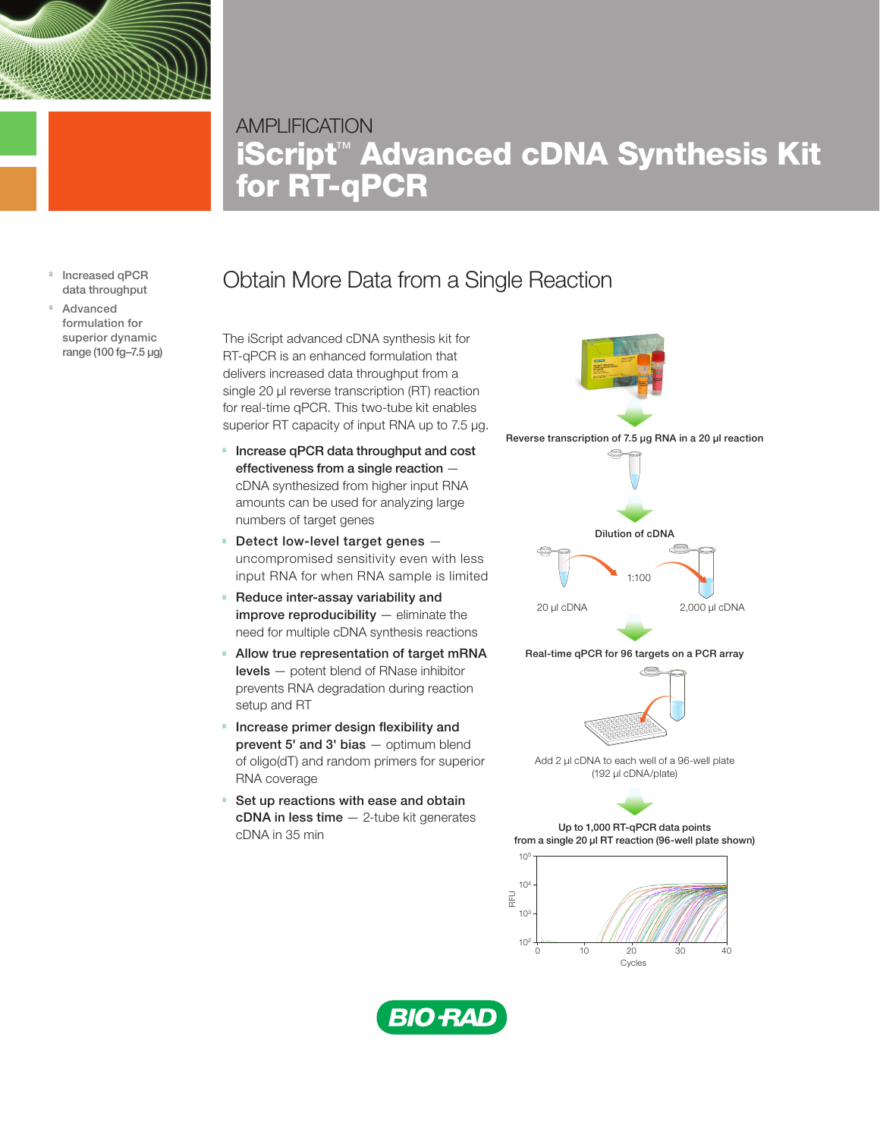

## **AMPLIFICATION** iScript™ Advanced cDNA Synthesis Kit for RT-qPCR

Increased qPCR data throughput Advanced formulation for superior dynamic range (100 fg–7.5 µg)

## Obtain More Data from a Single Reaction

The iScript advanced cDNA synthesis kit for RT-qPCR is an enhanced formulation that delivers increased data throughput from a single 20 μl reverse transcription (RT) reaction for real-time qPCR. This two-tube kit enables superior RT capacity of input RNA up to 7.5 μg.

Increase qPCR data throughput and cost effectiveness from a single reaction cDNA synthesized from higher input RNA amounts can be used for analyzing large numbers of target genes

Detect low-level target genes uncompromised sensitivity even with less input RNA for when RNA sample is limited

Reduce inter-assay variability and improve reproducibility - eliminate the need for multiple cDNA synthesis reactions

Allow true representation of target mRNA levels — potent blend of RNase inhibitor prevents RNA degradation during reaction setup and RT

Increase primer design flexibility and prevent 5' and 3' bias - optimum blend of oligo(dT) and random primers for superior RNA coverage

Set up reactions with ease and obtain cDNA in less time — 2-tube kit generates cDNA in 35 min